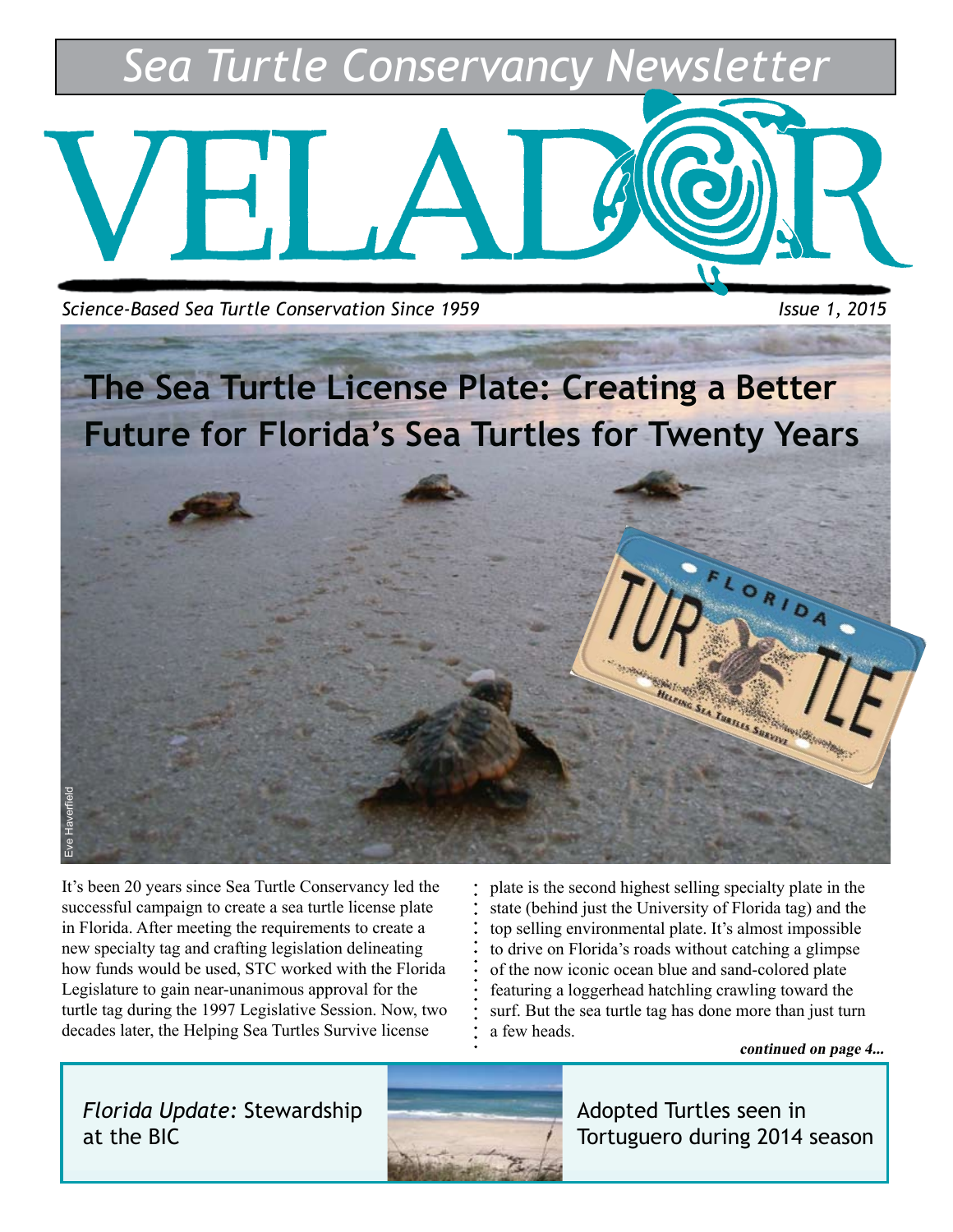*Sea Turtle Conservancy Newsletter*



**Science-Based Sea Turtle Conservation Since 1959** Issue 1, 2015



It's been 20 years since Sea Turtle Conservancy led the successful campaign to create a sea turtle license plate in Florida. After meeting the requirements to create a new specialty tag and crafting legislation delineating how funds would be used, STC worked with the Florida Legislature to gain near-unanimous approval for the turtle tag during the 1997 Legislative Session. Now, two decades later, the Helping Sea Turtles Survive license

plate is the second highest selling specialty plate in the state (behind just the University of Florida tag) and the top selling environmental plate. It's almost impossible to drive on Florida's roads without catching a glimpse of the now iconic ocean blue and sand-colored plate featuring a loggerhead hatchling crawling toward the surf. But the sea turtle tag has done more than just turn a few heads.

**continued on page 4...**

*Florida Update:* Stewardship at the BIC



Adopted Turtles seen in Tortuguero during 2014 season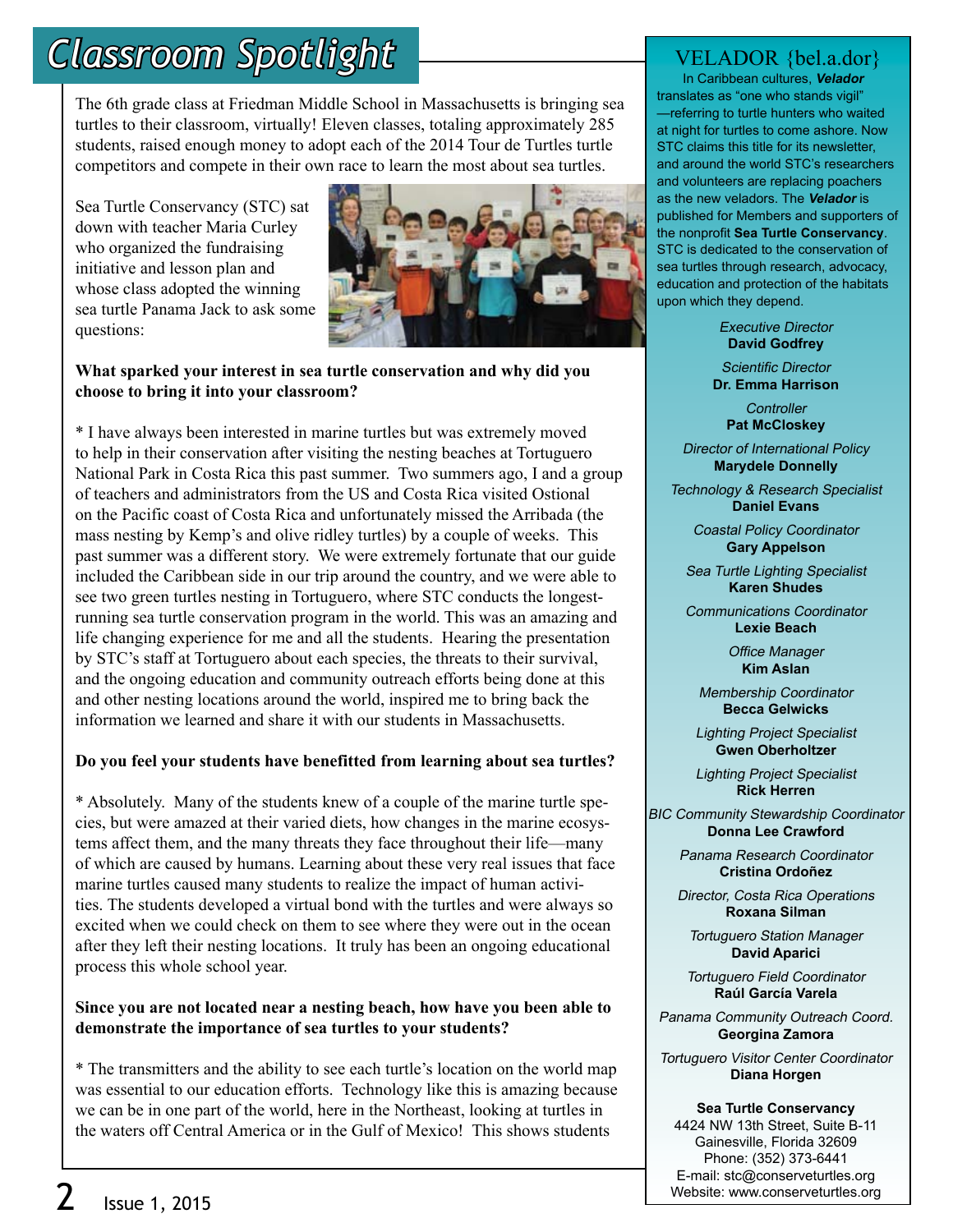## *Classroom Spotlight*

The 6th grade class at Friedman Middle School in Massachusetts is bringing sea turtles to their classroom, virtually! Eleven classes, totaling approximately 285 students, raised enough money to adopt each of the 2014 Tour de Turtles turtle competitors and compete in their own race to learn the most about sea turtles.

Sea Turtle Conservancy (STC) sat down with teacher Maria Curley who organized the fundraising initiative and lesson plan and whose class adopted the winning sea turtle Panama Jack to ask some questions:



#### **What sparked your interest in sea turtle conservation and why did you choose to bring it into your classroom?**

\* I have always been interested in marine turtles but was extremely moved to help in their conservation after visiting the nesting beaches at Tortuguero National Park in Costa Rica this past summer. Two summers ago, I and a group of teachers and administrators from the US and Costa Rica visited Ostional on the Pacific coast of Costa Rica and unfortunately missed the Arribada (the mass nesting by Kemp's and olive ridley turtles) by a couple of weeks. This past summer was a different story. We were extremely fortunate that our guide included the Caribbean side in our trip around the country, and we were able to see two green turtles nesting in Tortuguero, where STC conducts the longestrunning sea turtle conservation program in the world. This was an amazing and life changing experience for me and all the students. Hearing the presentation by STC's staff at Tortuguero about each species, the threats to their survival, and the ongoing education and community outreach efforts being done at this and other nesting locations around the world, inspired me to bring back the information we learned and share it with our students in Massachusetts.

#### **Do you feel your students have benefitted from learning about sea turtles?**

\* Absolutely. Many of the students knew of a couple of the marine turtle species, but were amazed at their varied diets, how changes in the marine ecosystems affect them, and the many threats they face throughout their life—many of which are caused by humans. Learning about these very real issues that face marine turtles caused many students to realize the impact of human activities. The students developed a virtual bond with the turtles and were always so excited when we could check on them to see where they were out in the ocean after they left their nesting locations. It truly has been an ongoing educational process this whole school year.

#### **Since you are not located near a nesting beach, how have you been able to demonstrate the importance of sea turtles to your students?**

\* The transmitters and the ability to see each turtle's location on the world map was essential to our education efforts. Technology like this is amazing because we can be in one part of the world, here in the Northeast, looking at turtles in the waters off Central America or in the Gulf of Mexico! This shows students

### VELADOR {bel.a.dor}

 In Caribbean cultures, **Velador** translates as "one who stands vigil" —referring to turtle hunters who waited at night for turtles to come ashore. Now STC claims this title for its newsletter, and around the world STC's researchers and volunteers are replacing poachers as the new veladors. The **Velador** is published for Members and supporters of the nonprofit **Sea Turtle Conservancy**. STC is dedicated to the conservation of sea turtles through research, advocacy, education and protection of the habitats upon which they depend.

> Executive Director **David Godfrey**

Scientific Director **Dr. Emma Harrison**

> **Controller Pat McCloskey**

Director of International Policy **Marydele Donnelly**

Technology & Research Specialist **Daniel Evans**

> Coastal Policy Coordinator **Gary Appelson**

Sea Turtle Lighting Specialist **Karen Shudes**

Communications Coordinator **Lexie Beach**

> Office Manager **Kim Aslan**

Membership Coordinator **Becca Gelwicks**

Lighting Project Specialist **Gwen Oberholtzer**

Lighting Project Specialist **Rick Herren**

BIC Community Stewardship Coordinator **Donna Lee Crawford**

> Panama Research Coordinator **Cristina Ordoñez**

Director, Costa Rica Operations **Roxana Silman**

Tortuguero Station Manager **David Aparici**

Tortuguero Field Coordinator **Raúl García Varela**

Panama Community Outreach Coord. **Georgina Zamora**

Tortuguero Visitor Center Coordinator **Diana Horgen**

**Sea Turtle Conservancy** 4424 NW 13th Street, Suite B-11 Gainesville, Florida 32609 Phone: (352) 373-6441 E-mail: stc@conserveturtles.org Website: www.conserveturtles.org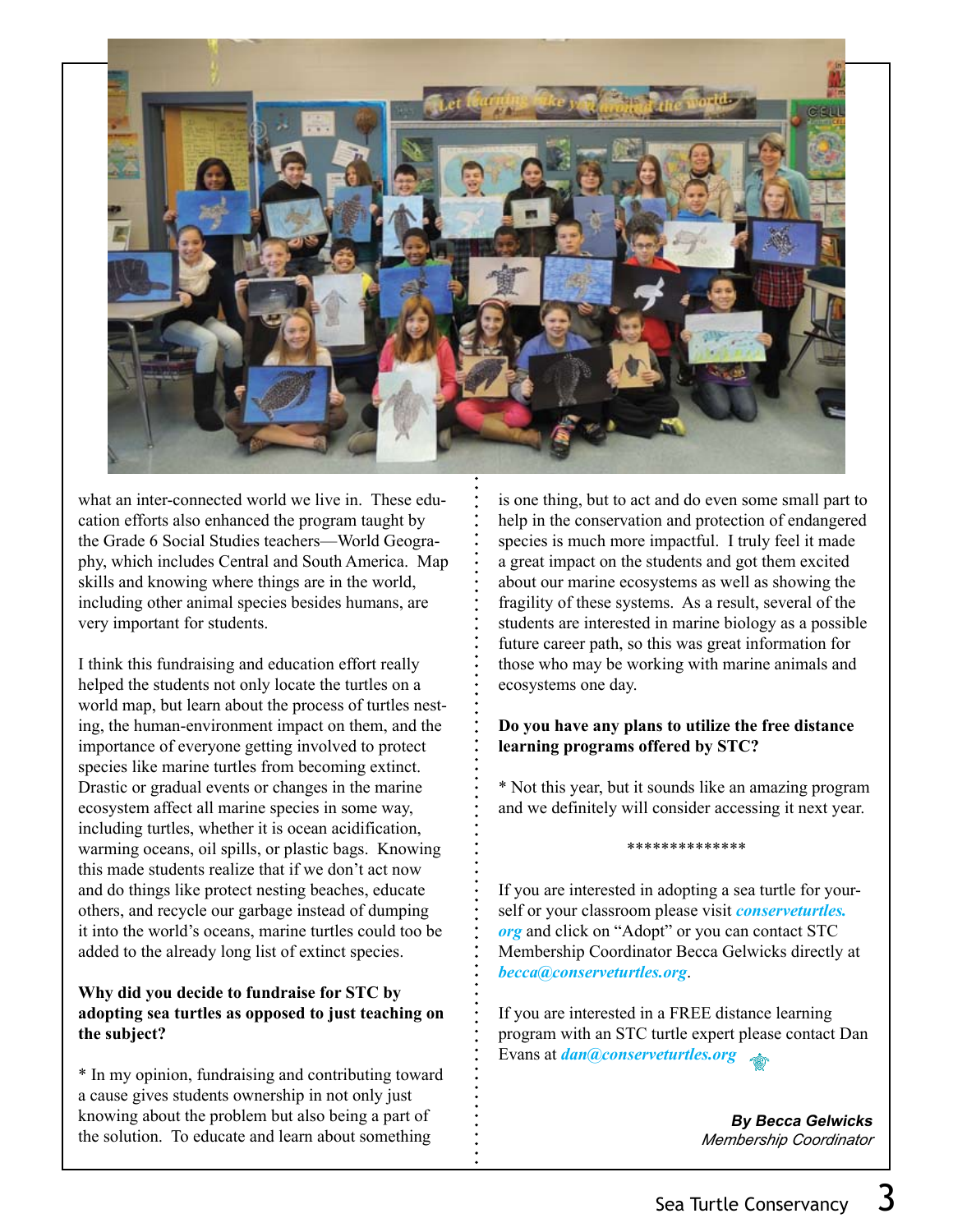

what an inter-connected world we live in. These education efforts also enhanced the program taught by the Grade 6 Social Studies teachers—World Geography, which includes Central and South America. Map skills and knowing where things are in the world, including other animal species besides humans, are very important for students.

I think this fundraising and education effort really helped the students not only locate the turtles on a world map, but learn about the process of turtles nesting, the human-environment impact on them, and the importance of everyone getting involved to protect species like marine turtles from becoming extinct. Drastic or gradual events or changes in the marine ecosystem affect all marine species in some way, including turtles, whether it is ocean acidification, warming oceans, oil spills, or plastic bags. Knowing this made students realize that if we don't act now and do things like protect nesting beaches, educate others, and recycle our garbage instead of dumping it into the world's oceans, marine turtles could too be added to the already long list of extinct species.

#### **Why did you decide to fundraise for STC by adopting sea turtles as opposed to just teaching on the subject?**

\* In my opinion, fundraising and contributing toward a cause gives students ownership in not only just knowing about the problem but also being a part of the solution. To educate and learn about something

is one thing, but to act and do even some small part to help in the conservation and protection of endangered species is much more impactful. I truly feel it made a great impact on the students and got them excited about our marine ecosystems as well as showing the fragility of these systems. As a result, several of the students are interested in marine biology as a possible future career path, so this was great information for those who may be working with marine animals and ecosystems one day.

#### **Do you have any plans to utilize the free distance learning programs offered by STC?**

\* Not this year, but it sounds like an amazing program and we definitely will consider accessing it next year.

\*\*\*\*\*\*\*\*\*\*\*\*\*\*

If you are interested in adopting a sea turtle for yourself or your classroom please visit *conserveturtles. org* and click on "Adopt" or you can contact STC Membership Coordinator Becca Gelwicks directly at *becca@conserveturtles.org*.

If you are interested in a FREE distance learning program with an STC turtle expert please contact Dan Evans at *dan@conserveturtles.org*

> **By Becca Gelwicks** *Membership Coordinator*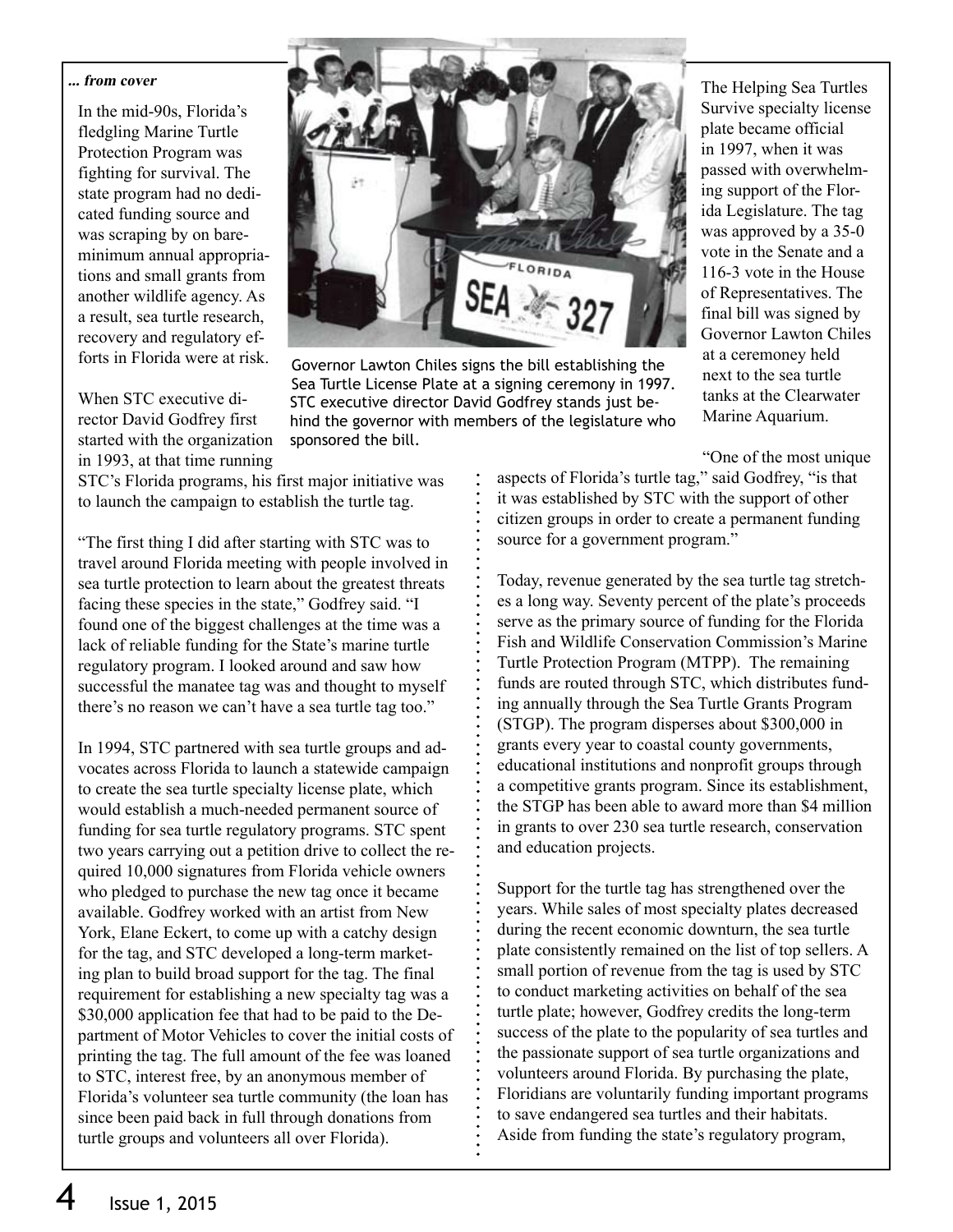#### **... from cover**

In the mid-90s, Florida's fledgling Marine Turtle Protection Program was fighting for survival. The state program had no dedicated funding source and was scraping by on bareminimum annual appropriations and small grants from another wildlife agency. As a result, sea turtle research, recovery and regulatory efforts in Florida were at risk.

When STC executive director David Godfrey first started with the organization in 1993, at that time running



Governor Lawton Chiles signs the bill establishing the Sea Turtle License Plate at a signing ceremony in 1997. STC executive director David Godfrey stands just behind the governor with members of the legislature who sponsored the bill.

The Helping Sea Turtles Survive specialty license plate became official in 1997, when it was passed with overwhelming support of the Florida Legislature. The tag was approved by a 35-0 vote in the Senate and a 116-3 vote in the House of Representatives. The final bill was signed by Governor Lawton Chiles at a ceremoney held next to the sea turtle tanks at the Clearwater Marine Aquarium.

"One of the most unique

STC's Florida programs, his first major initiative was to launch the campaign to establish the turtle tag.

"The first thing I did after starting with STC was to travel around Florida meeting with people involved in sea turtle protection to learn about the greatest threats facing these species in the state," Godfrey said. "I found one of the biggest challenges at the time was a lack of reliable funding for the State's marine turtle regulatory program. I looked around and saw how successful the manatee tag was and thought to myself there's no reason we can't have a sea turtle tag too."

In 1994, STC partnered with sea turtle groups and advocates across Florida to launch a statewide campaign to create the sea turtle specialty license plate, which would establish a much-needed permanent source of funding for sea turtle regulatory programs. STC spent two years carrying out a petition drive to collect the required 10,000 signatures from Florida vehicle owners who pledged to purchase the new tag once it became available. Godfrey worked with an artist from New York, Elane Eckert, to come up with a catchy design for the tag, and STC developed a long-term marketing plan to build broad support for the tag. The final requirement for establishing a new specialty tag was a \$30,000 application fee that had to be paid to the Department of Motor Vehicles to cover the initial costs of printing the tag. The full amount of the fee was loaned to STC, interest free, by an anonymous member of Florida's volunteer sea turtle community (the loan has since been paid back in full through donations from turtle groups and volunteers all over Florida).

aspects of Florida's turtle tag," said Godfrey, "is that it was established by STC with the support of other citizen groups in order to create a permanent funding source for a government program."

Today, revenue generated by the sea turtle tag stretches a long way. Seventy percent of the plate's proceeds serve as the primary source of funding for the Florida Fish and Wildlife Conservation Commission's Marine Turtle Protection Program (MTPP). The remaining funds are routed through STC, which distributes funding annually through the Sea Turtle Grants Program (STGP). The program disperses about \$300,000 in grants every year to coastal county governments, educational institutions and nonprofit groups through a competitive grants program. Since its establishment, the STGP has been able to award more than \$4 million in grants to over 230 sea turtle research, conservation and education projects.

Support for the turtle tag has strengthened over the years. While sales of most specialty plates decreased during the recent economic downturn, the sea turtle plate consistently remained on the list of top sellers. A small portion of revenue from the tag is used by STC to conduct marketing activities on behalf of the sea turtle plate; however, Godfrey credits the long-term success of the plate to the popularity of sea turtles and the passionate support of sea turtle organizations and volunteers around Florida. By purchasing the plate, Floridians are voluntarily funding important programs to save endangered sea turtles and their habitats. Aside from funding the state's regulatory program,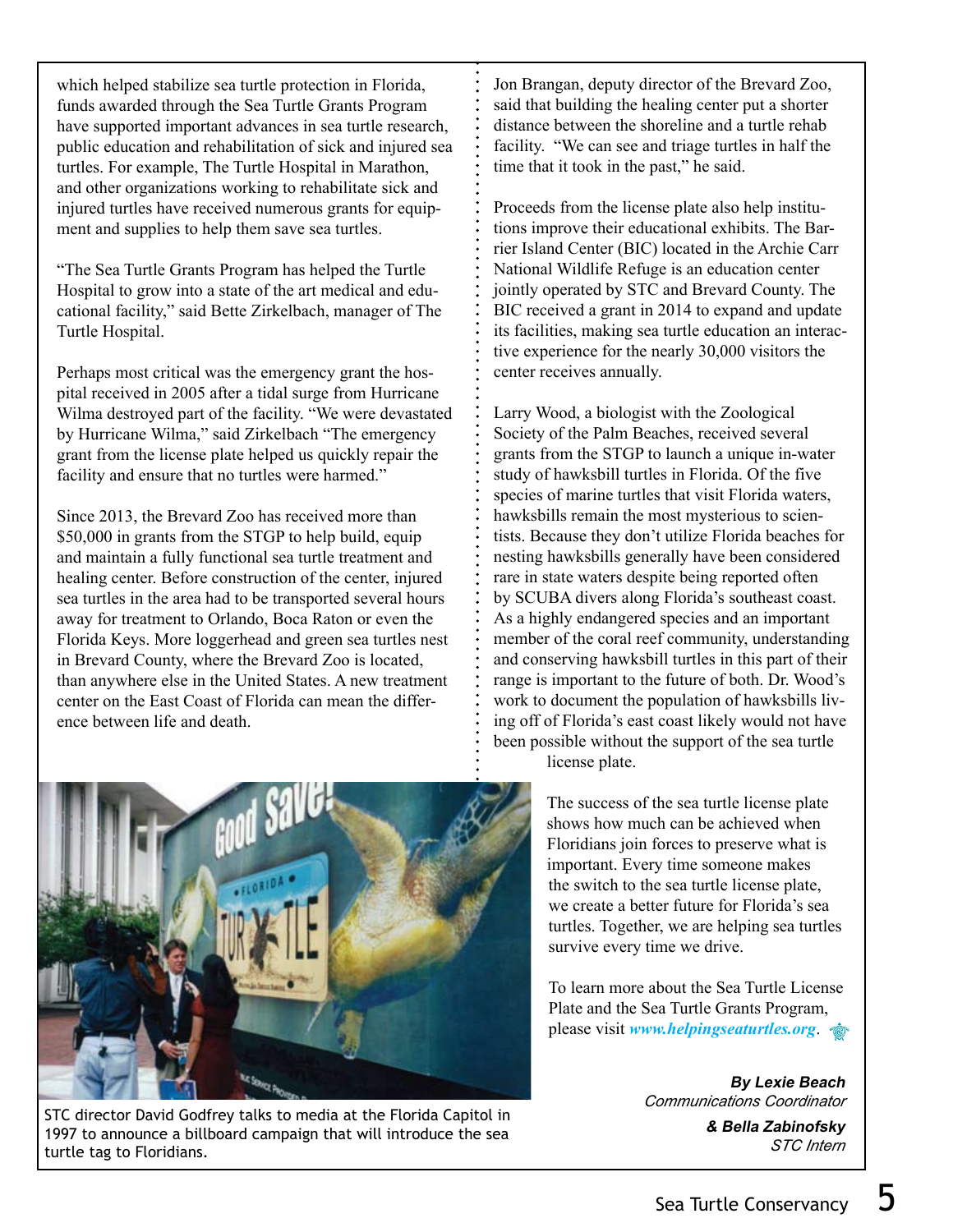which helped stabilize sea turtle protection in Florida, funds awarded through the Sea Turtle Grants Program have supported important advances in sea turtle research, public education and rehabilitation of sick and injured sea turtles. For example, The Turtle Hospital in Marathon, and other organizations working to rehabilitate sick and injured turtles have received numerous grants for equipment and supplies to help them save sea turtles.

"The Sea Turtle Grants Program has helped the Turtle Hospital to grow into a state of the art medical and educational facility," said Bette Zirkelbach, manager of The Turtle Hospital.

Perhaps most critical was the emergency grant the hospital received in 2005 after a tidal surge from Hurricane Wilma destroyed part of the facility. "We were devastated by Hurricane Wilma," said Zirkelbach "The emergency grant from the license plate helped us quickly repair the facility and ensure that no turtles were harmed."

Since 2013, the Brevard Zoo has received more than \$50,000 in grants from the STGP to help build, equip and maintain a fully functional sea turtle treatment and healing center. Before construction of the center, injured sea turtles in the area had to be transported several hours away for treatment to Orlando, Boca Raton or even the Florida Keys. More loggerhead and green sea turtles nest in Brevard County, where the Brevard Zoo is located, than anywhere else in the United States. A new treatment center on the East Coast of Florida can mean the difference between life and death.

Jon Brangan, deputy director of the Brevard Zoo, said that building the healing center put a shorter distance between the shoreline and a turtle rehab facility. "We can see and triage turtles in half the time that it took in the past," he said.

Proceeds from the license plate also help institutions improve their educational exhibits. The Barrier Island Center (BIC) located in the Archie Carr National Wildlife Refuge is an education center jointly operated by STC and Brevard County. The BIC received a grant in 2014 to expand and update its facilities, making sea turtle education an interactive experience for the nearly 30,000 visitors the center receives annually.

Larry Wood, a biologist with the Zoological Society of the Palm Beaches, received several grants from the STGP to launch a unique in-water study of hawksbill turtles in Florida. Of the five species of marine turtles that visit Florida waters, hawksbills remain the most mysterious to scientists. Because they don't utilize Florida beaches for nesting hawksbills generally have been considered rare in state waters despite being reported often by SCUBA divers along Florida's southeast coast. As a highly endangered species and an important member of the coral reef community, understanding and conserving hawksbill turtles in this part of their range is important to the future of both. Dr. Wood's work to document the population of hawksbills living off of Florida's east coast likely would not have been possible without the support of the sea turtle



The success of the sea turtle license plate shows how much can be achieved when Floridians join forces to preserve what is important. Every time someone makes the switch to the sea turtle license plate, we create a better future for Florida's sea turtles. Together, we are helping sea turtles survive every time we drive.

To learn more about the Sea Turtle License Plate and the Sea Turtle Grants Program, please visit *www.helpingseaturtles.org*.

> **By Lexie Beach** *Communications Coordinator*

> > **& Bella Zabinofsky** *STC Intern*



STC director David Godfrey talks to media at the Florida Capitol in 1997 to announce a billboard campaign that will introduce the sea turtle tag to Floridians.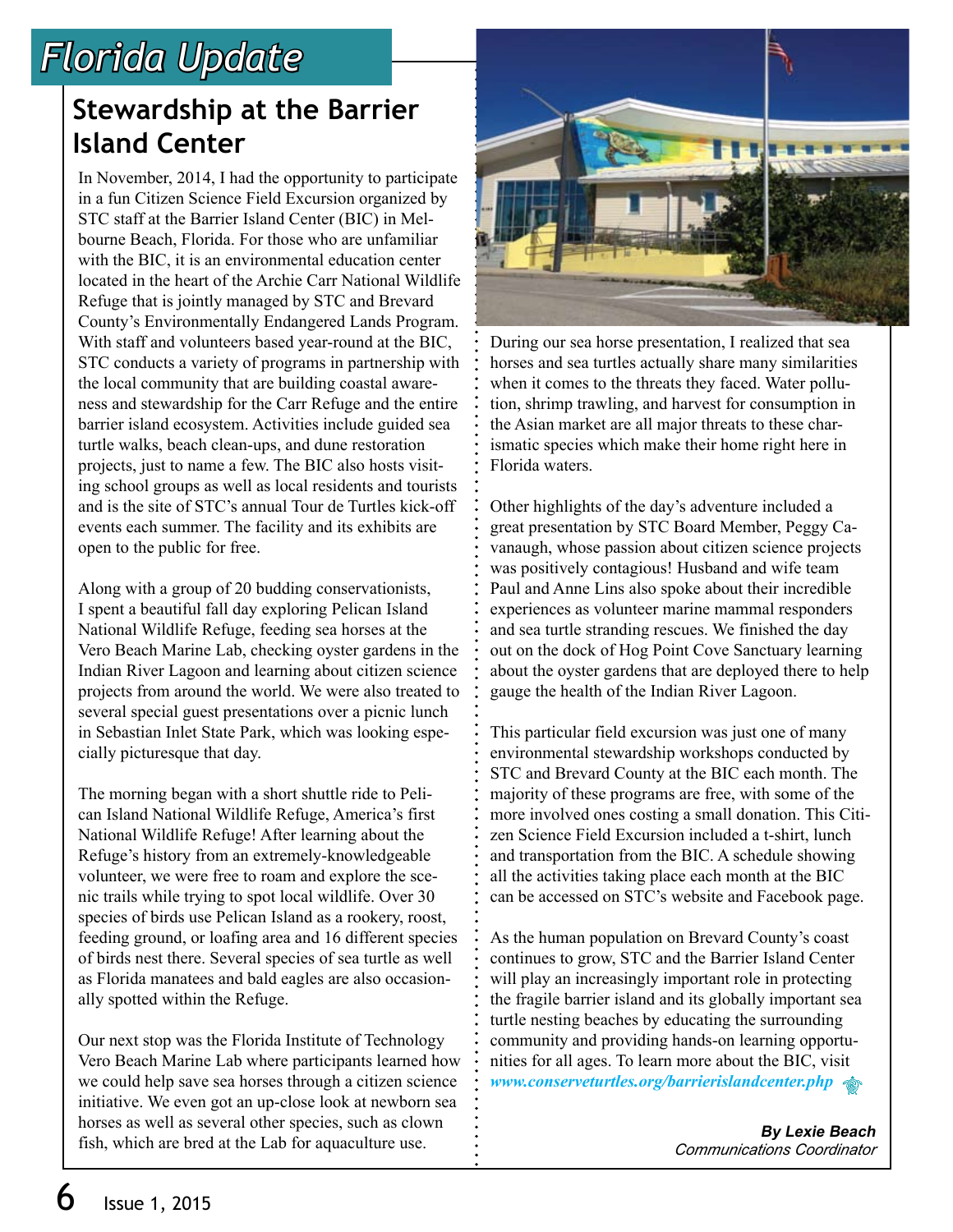## *Florida Update*

## **Stewardship at the Barrier Island Center**

In November, 2014, I had the opportunity to participate in a fun Citizen Science Field Excursion organized by STC staff at the Barrier Island Center (BIC) in Melbourne Beach, Florida. For those who are unfamiliar with the BIC, it is an environmental education center located in the heart of the Archie Carr National Wildlife Refuge that is jointly managed by STC and Brevard County's Environmentally Endangered Lands Program. With staff and volunteers based year-round at the BIC, STC conducts a variety of programs in partnership with the local community that are building coastal awareness and stewardship for the Carr Refuge and the entire barrier island ecosystem. Activities include guided sea turtle walks, beach clean-ups, and dune restoration projects, just to name a few. The BIC also hosts visiting school groups as well as local residents and tourists and is the site of STC's annual Tour de Turtles kick-off events each summer. The facility and its exhibits are open to the public for free.

Along with a group of 20 budding conservationists, I spent a beautiful fall day exploring Pelican Island National Wildlife Refuge, feeding sea horses at the Vero Beach Marine Lab, checking oyster gardens in the Indian River Lagoon and learning about citizen science projects from around the world. We were also treated to several special guest presentations over a picnic lunch in Sebastian Inlet State Park, which was looking especially picturesque that day.

The morning began with a short shuttle ride to Pelican Island National Wildlife Refuge, America's first National Wildlife Refuge! After learning about the Refuge's history from an extremely-knowledgeable volunteer, we were free to roam and explore the scenic trails while trying to spot local wildlife. Over 30 species of birds use Pelican Island as a rookery, roost, feeding ground, or loafing area and 16 different species of birds nest there. Several species of sea turtle as well as Florida manatees and bald eagles are also occasionally spotted within the Refuge.

Our next stop was the Florida Institute of Technology Vero Beach Marine Lab where participants learned how we could help save sea horses through a citizen science initiative. We even got an up-close look at newborn sea horses as well as several other species, such as clown fish, which are bred at the Lab for aquaculture use.



During our sea horse presentation, I realized that sea horses and sea turtles actually share many similarities when it comes to the threats they faced. Water pollution, shrimp trawling, and harvest for consumption in the Asian market are all major threats to these charismatic species which make their home right here in Florida waters.

Other highlights of the day's adventure included a great presentation by STC Board Member, Peggy Cavanaugh, whose passion about citizen science projects was positively contagious! Husband and wife team Paul and Anne Lins also spoke about their incredible experiences as volunteer marine mammal responders and sea turtle stranding rescues. We finished the day out on the dock of Hog Point Cove Sanctuary learning about the oyster gardens that are deployed there to help gauge the health of the Indian River Lagoon.

This particular field excursion was just one of many environmental stewardship workshops conducted by STC and Brevard County at the BIC each month. The majority of these programs are free, with some of the more involved ones costing a small donation. This Citizen Science Field Excursion included a t-shirt, lunch and transportation from the BIC. A schedule showing all the activities taking place each month at the BIC can be accessed on STC's website and Facebook page.

As the human population on Brevard County's coast continues to grow, STC and the Barrier Island Center will play an increasingly important role in protecting the fragile barrier island and its globally important sea turtle nesting beaches by educating the surrounding community and providing hands-on learning opportunities for all ages. To learn more about the BIC, visit *www.conserveturtles.org/barrierislandcenter.php* 

> **By Lexie Beach** *Communications Coordinator*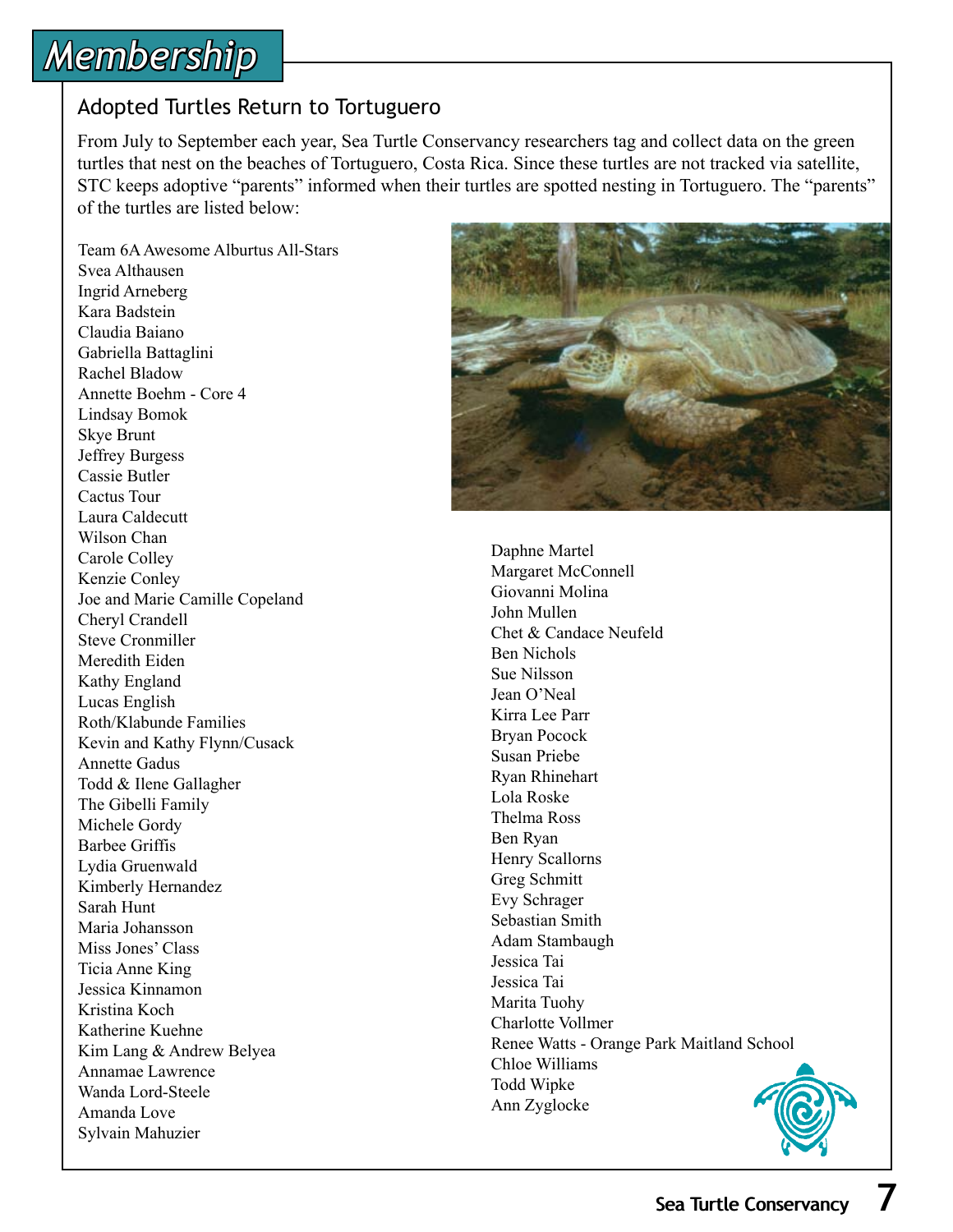# *Membership*

### Adopted Turtles Return to Tortuguero

From July to September each year, Sea Turtle Conservancy researchers tag and collect data on the green turtles that nest on the beaches of Tortuguero, Costa Rica. Since these turtles are not tracked via satellite, STC keeps adoptive "parents" informed when their turtles are spotted nesting in Tortuguero. The "parents" of the turtles are listed below:

Team 6A Awesome Alburtus All-Stars Svea Althausen Ingrid Arneberg Kara Badstein Claudia Baiano Gabriella Battaglini Rachel Bladow Annette Boehm - Core 4 Lindsay Bomok Skye Brunt Jeffrey Burgess Cassie Butler Cactus Tour Laura Caldecutt Wilson Chan Carole Colley Kenzie Conley Joe and Marie Camille Copeland Cheryl Crandell Steve Cronmiller Meredith Eiden Kathy England Lucas English Roth/Klabunde Families Kevin and Kathy Flynn/Cusack Annette Gadus Todd & Ilene Gallagher The Gibelli Family Michele Gordy Barbee Griffis Lydia Gruenwald Kimberly Hernandez Sarah Hunt Maria Johansson Miss Jones' Class Ticia Anne King Jessica Kinnamon Kristina Koch Katherine Kuehne Kim Lang & Andrew Belyea Annamae Lawrence Wanda Lord-Steele Amanda Love Sylvain Mahuzier



Daphne Martel Margaret McConnell Giovanni Molina John Mullen Chet & Candace Neufeld Ben Nichols Sue Nilsson Jean O'Neal Kirra Lee Parr Bryan Pocock Susan Priebe Ryan Rhinehart Lola Roske Thelma Ross Ben Ryan Henry Scallorns Greg Schmitt Evy Schrager Sebastian Smith Adam Stambaugh Jessica Tai Jessica Tai Marita Tuohy Charlotte Vollmer Renee Watts - Orange Park Maitland School Chloe Williams Todd Wipke Ann Zyglocke